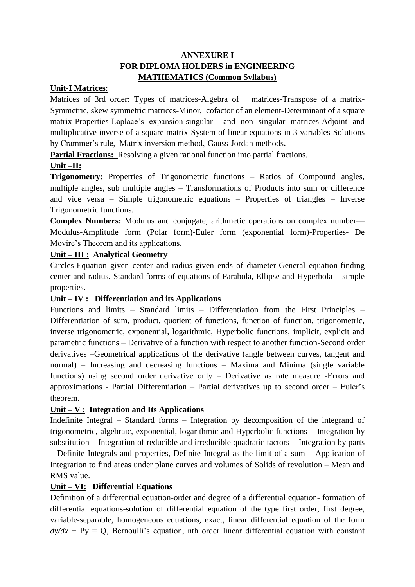## **ANNEXURE I FOR DIPLOMA HOLDERS in ENGINEERING MATHEMATICS (Common Syllabus)**

#### **Unit-I Matrices**:

Matrices of 3rd order: Types of matrices-Algebra of matrices-Transpose of a matrix-Symmetric, skew symmetric matrices-Minor, cofactor of an element-Determinant of a square matrix-Properties-Laplace's expansion-singular and non singular matrices-Adjoint and multiplicative inverse of a square matrix-System of linear equations in 3 variables-Solutions by Crammer's rule, Matrix inversion method,-Gauss-Jordan methods**.** 

**Partial Fractions:** Resolving a given rational function into partial fractions.

## **Unit –II:**

**Trigonometry:** Properties of Trigonometric functions – Ratios of Compound angles, multiple angles, sub multiple angles – Transformations of Products into sum or difference and vice versa – Simple trigonometric equations – Properties of triangles – Inverse Trigonometric functions.

**Complex Numbers:** Modulus and conjugate, arithmetic operations on complex number— Modulus-Amplitude form (Polar form)-Euler form (exponential form)-Properties- De Movire's Theorem and its applications.

### **Unit – III : Analytical Geometry**

Circles-Equation given center and radius-given ends of diameter-General equation-finding center and radius. Standard forms of equations of Parabola, Ellipse and Hyperbola – simple properties.

### **Unit – IV : Differentiation and its Applications**

Functions and limits – Standard limits – Differentiation from the First Principles – Differentiation of sum, product, quotient of functions, function of function, trigonometric, inverse trigonometric, exponential, logarithmic, Hyperbolic functions, implicit, explicit and parametric functions – Derivative of a function with respect to another function-Second order derivatives –Geometrical applications of the derivative (angle between curves, tangent and normal) – Increasing and decreasing functions – Maxima and Minima (single variable functions) using second order derivative only – Derivative as rate measure -Errors and approximations - Partial Differentiation – Partial derivatives up to second order – Euler's theorem.

## **Unit – V : Integration and Its Applications**

Indefinite Integral – Standard forms – Integration by decomposition of the integrand of trigonometric, algebraic, exponential, logarithmic and Hyperbolic functions – Integration by substitution – Integration of reducible and irreducible quadratic factors – Integration by parts – Definite Integrals and properties, Definite Integral as the limit of a sum – Application of Integration to find areas under plane curves and volumes of Solids of revolution – Mean and RMS value.

### **Unit – VI: Differential Equations**

Definition of a differential equation-order and degree of a differential equation- formation of differential equations-solution of differential equation of the type first order, first degree, variable-separable, homogeneous equations, exact, linear differential equation of the form  $dy/dx + Py = Q$ , Bernoulli's equation, nth order linear differential equation with constant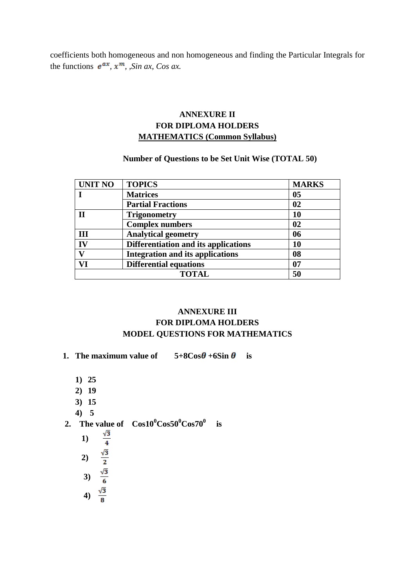coefficients both homogeneous and non homogeneous and finding the Particular Integrals for the functions  $e^{ax}$ ,  $x^m$ ,  $\sin ax$ ,  $\cos ax$ .

# **ANNEXURE II FOR DIPLOMA HOLDERS MATHEMATICS (Common Syllabus)**

#### **Number of Questions to be Set Unit Wise (TOTAL 50)**

| <b>UNIT NO</b> | <b>TOPICS</b>                           | <b>MARKS</b>   |
|----------------|-----------------------------------------|----------------|
|                | <b>Matrices</b>                         | 0 <sub>5</sub> |
|                | <b>Partial Fractions</b>                | 02             |
| П              | <b>Trigonometry</b>                     | 10             |
|                | <b>Complex numbers</b>                  | 02             |
| III            | <b>Analytical geometry</b>              | 06             |
| IV             | Differentiation and its applications    | 10             |
| T7             | <b>Integration and its applications</b> | 08             |
| VI             | <b>Differential equations</b>           | 07             |
| <b>TOTAL</b>   |                                         | 50             |

## **ANNEXURE III FOR DIPLOMA HOLDERS MODEL QUESTIONS FOR MATHEMATICS**

- **1.** The maximum value of  $5+8\cos\theta+6\sin\theta$  is
	- **1) 25**
	- **2) 19**
	- **3) 15**
	- **4) 5**
- **2.** The value of  $\cos 10^{\circ} \text{Cos} 50^{\circ} \text{Cos} 70^{\circ}$  is
- **1) 2) 3) 4)**